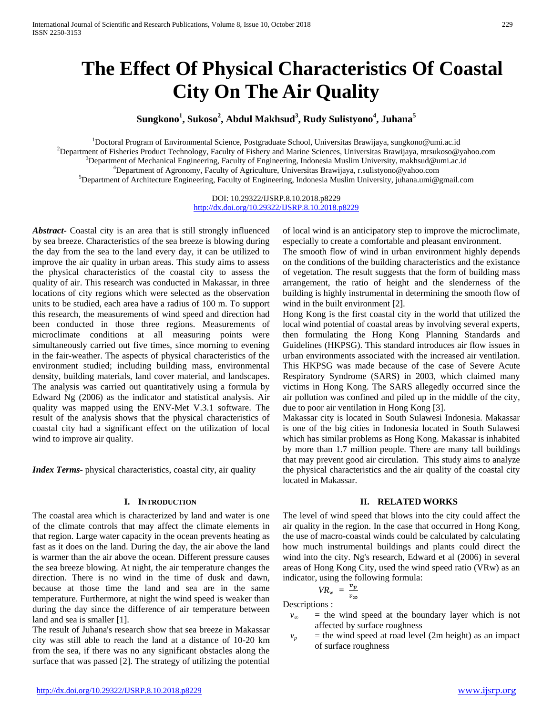# **The Effect Of Physical Characteristics Of Coastal City On The Air Quality**

# **Sungkono1 , Sukoso<sup>2</sup> , Abdul Makhsud<sup>3</sup> , Rudy Sulistyono<sup>4</sup> , Juhana<sup>5</sup>**

<sup>1</sup> Doctoral Program of Environmental Science, Postgraduate School, Universitas Brawijaya, sungkono@umi.ac.id<br><sup>2</sup> Department of Eicharias Braduat Technology, Fesulty of Eichary and Marine Sciences, Universites Prayijaya, m <sup>2</sup>Department of Fisheries Product Technology, Faculty of Fishery and Marine Sciences, Universitas Brawijaya, mrsukoso@yahoo.com  $\beta$ Department of Mechanical Engineering, Faculty of Engineering, Indonesia Muslim University, makhsud@umi.ac.id <sup>4</sup>Department of Agronomy, Faculty of Agriculture, Universitas Brawijaya, r.sulistyono@yahoo.com <sup>5</sup>Department of Architecture Engineering, Faculty of Engineering, Indonesia Muslim University, juhana.umi@gmail.com

> DOI: 10.29322/IJSRP.8.10.2018.p8229 <http://dx.doi.org/10.29322/IJSRP.8.10.2018.p8229>

*Abstract***-** Coastal city is an area that is still strongly influenced by sea breeze. Characteristics of the sea breeze is blowing during the day from the sea to the land every day, it can be utilized to improve the air quality in urban areas. This study aims to assess the physical characteristics of the coastal city to assess the quality of air. This research was conducted in Makassar, in three locations of city regions which were selected as the observation units to be studied, each area have a radius of 100 m. To support this research, the measurements of wind speed and direction had been conducted in those three regions. Measurements of microclimate conditions at all measuring points were simultaneously carried out five times, since morning to evening in the fair-weather. The aspects of physical characteristics of the environment studied; including building mass, environmental density, building materials, land cover material, and landscapes. The analysis was carried out quantitatively using a formula by Edward Ng (2006) as the indicator and statistical analysis. Air quality was mapped using the ENV-Met V.3.1 software. The result of the analysis shows that the physical characteristics of coastal city had a significant effect on the utilization of local wind to improve air quality.

*Index Terms*- physical characteristics, coastal city, air quality

## **I. INTRODUCTION**

The coastal area which is characterized by land and water is one of the climate controls that may affect the climate elements in that region. Large water capacity in the ocean prevents heating as fast as it does on the land. During the day, the air above the land is warmer than the air above the ocean. Different pressure causes the sea breeze blowing. At night, the air temperature changes the direction. There is no wind in the time of dusk and dawn, because at those time the land and sea are in the same temperature. Furthermore, at night the wind speed is weaker than during the day since the difference of air temperature between land and sea is smaller [1].

The result of Juhana's research show that sea breeze in Makassar city was still able to reach the land at a distance of 10-20 km from the sea, if there was no any significant obstacles along the surface that was passed [2]. The strategy of utilizing the potential

of local wind is an anticipatory step to improve the microclimate, especially to create a comfortable and pleasant environment.

The smooth flow of wind in urban environment highly depends on the conditions of the building characteristics and the existance of vegetation. The result suggests that the form of building mass arrangement, the ratio of height and the slenderness of the building is highly instrumental in determining the smooth flow of wind in the built environment [2].

Hong Kong is the first coastal city in the world that utilized the local wind potential of coastal areas by involving several experts, then formulating the Hong Kong Planning Standards and Guidelines (HKPSG). This standard introduces air flow issues in urban environments associated with the increased air ventilation. This HKPSG was made because of the case of Severe Acute Respiratory Syndrome (SARS) in 2003, which claimed many victims in Hong Kong. The SARS allegedly occurred since the air pollution was confined and piled up in the middle of the city, due to poor air ventilation in Hong Kong [3].

Makassar city is located in South Sulawesi Indonesia. Makassar is one of the big cities in Indonesia located in South Sulawesi which has similar problems as Hong Kong. Makassar is inhabited by more than 1.7 million people. There are many tall buildings that may prevent good air circulation. This study aims to analyze the physical characteristics and the air quality of the coastal city located in Makassar.

## **II. RELATED WORKS**

The level of wind speed that blows into the city could affect the air quality in the region. In the case that occurred in Hong Kong, the use of macro-coastal winds could be calculated by calculating how much instrumental buildings and plants could direct the wind into the city. Ng's research, Edward et al (2006) in several areas of Hong Kong City, used the wind speed ratio (VRw) as an indicator, using the following formula:

$$
VR_w = \frac{v_p}{v_{\infty}}
$$

Descriptions :

- $v_{\infty}$  = the wind speed at the boundary layer which is not affected by surface roughness
- $v_p$  = the wind speed at road level (2m height) as an impact of surface roughness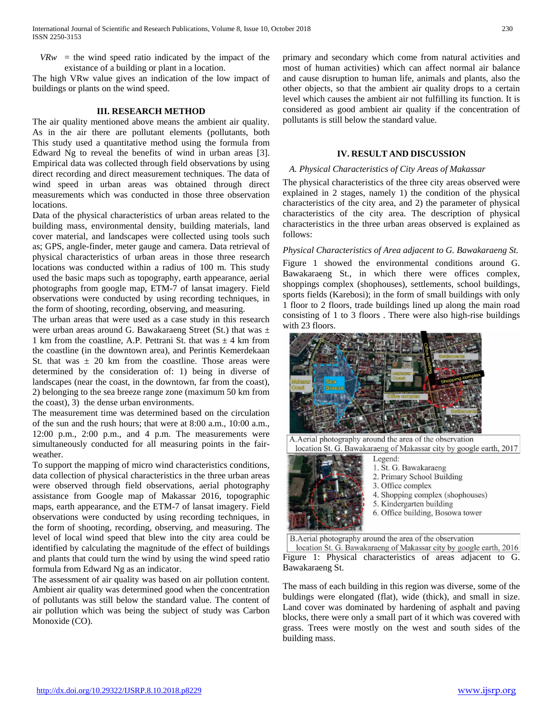$V R w =$  the wind speed ratio indicated by the impact of the existance of a building or plant in a location.

The high VRw value gives an indication of the low impact of buildings or plants on the wind speed.

#### **III. RESEARCH METHOD**

The air quality mentioned above means the ambient air quality. As in the air there are pollutant elements (pollutants, both This study used a quantitative method using the formula from Edward Ng to reveal the benefits of wind in urban areas [3]. Empirical data was collected through field observations by using direct recording and direct measurement techniques. The data of wind speed in urban areas was obtained through direct measurements which was conducted in those three observation locations.

Data of the physical characteristics of urban areas related to the building mass, environmental density, building materials, land cover material, and landscapes were collected using tools such as; GPS, angle-finder, meter gauge and camera. Data retrieval of physical characteristics of urban areas in those three research locations was conducted within a radius of 100 m. This study used the basic maps such as topography, earth appearance, aerial photographs from google map, ETM-7 of lansat imagery. Field observations were conducted by using recording techniques, in the form of shooting, recording, observing, and measuring.

The urban areas that were used as a case study in this research were urban areas around G. Bawakaraeng Street (St.) that was  $\pm$ 1 km from the coastline, A.P. Pettrani St. that was  $\pm$  4 km from the coastline (in the downtown area), and Perintis Kemerdekaan St. that was  $\pm$  20 km from the coastline. Those areas were determined by the consideration of: 1) being in diverse of landscapes (near the coast, in the downtown, far from the coast), 2) belonging to the sea breeze range zone (maximum 50 km from the coast), 3) the dense urban environments.

The measurement time was determined based on the circulation of the sun and the rush hours; that were at 8:00 a.m., 10:00 a.m., 12:00 p.m., 2:00 p.m., and 4 p.m. The measurements were simultaneously conducted for all measuring points in the fairweather.

To support the mapping of micro wind characteristics conditions, data collection of physical characteristics in the three urban areas were observed through field observations, aerial photography assistance from Google map of Makassar 2016, topographic maps, earth appearance, and the ETM-7 of lansat imagery. Field observations were conducted by using recording techniques, in the form of shooting, recording, observing, and measuring. The level of local wind speed that blew into the city area could be identified by calculating the magnitude of the effect of buildings and plants that could turn the wind by using the wind speed ratio formula from Edward Ng as an indicator.

The assessment of air quality was based on air pollution content. Ambient air quality was determined good when the concentration of pollutants was still below the standard value. The content of air pollution which was being the subject of study was Carbon Monoxide (CO).

primary and secondary which come from natural activities and most of human activities) which can affect normal air balance and cause disruption to human life, animals and plants, also the other objects, so that the ambient air quality drops to a certain level which causes the ambient air not fulfilling its function. It is considered as good ambient air quality if the concentration of pollutants is still below the standard value.

## **IV. RESULT AND DISCUSSION**

## *A. Physical Characteristics of City Areas of Makassar*

The physical characteristics of the three city areas observed were explained in 2 stages, namely 1) the condition of the physical characteristics of the city area, and 2) the parameter of physical characteristics of the city area. The description of physical characteristics in the three urban areas observed is explained as follows:

#### *Physical Characteristics of Area adjacent to G. Bawakaraeng St.*

Figure 1 showed the environmental conditions around G. Bawakaraeng St., in which there were offices complex, shoppings complex (shophouses), settlements, school buildings, sports fields (Karebosi); in the form of small buildings with only 1 floor to 2 floors, trade buildings lined up along the main road consisting of 1 to 3 floors . There were also high-rise buildings with 23 floors.



Legend:

A. Aerial photography around the area of the observation location St. G. Bawakaraeng of Makassar city by google earth, 2017



- 1. St. G. Bawakaraeng
- 2. Primary School Building
- 3. Office complex
- 4. Shopping complex (shophouses)
- 5. Kindergarten building
- 6. Office building, Bosowa tower
- 

B.Aerial photography around the area of the observation

location St. G. Bawakaraeng of Makassar city by google earth, 2016 Figure 1: Physical characteristics of areas adjacent to G. Bawakaraeng St.

The mass of each building in this region was diverse, some of the buldings were elongated (flat), wide (thick), and small in size. Land cover was dominated by hardening of asphalt and paving blocks, there were only a small part of it which was covered with grass. Trees were mostly on the west and south sides of the building mass.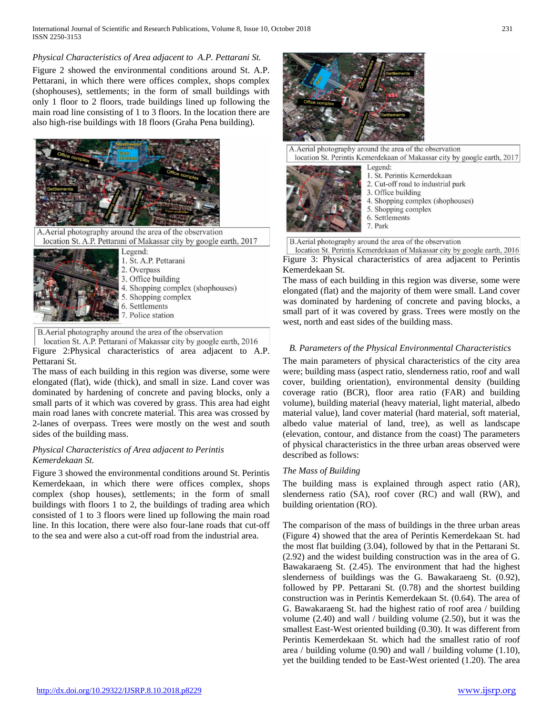## *Physical Characteristics of Area adjacent to A.P. Pettarani St.*

Figure 2 showed the environmental conditions around St. A.P. Pettarani, in which there were offices complex, shops complex (shophouses), settlements; in the form of small buildings with only 1 floor to 2 floors, trade buildings lined up following the main road line consisting of 1 to 3 floors. In the location there are also high-rise buildings with 18 floors (Graha Pena building).



A. Aerial photography around the area of the observation location St. A.P. Pettarani of Makassar city by google earth, 2017



Legend: 1. St. A.P. Pettarani 2. Overpass 3. Office building 4. Shopping complex (shophouses) 5. Shopping complex 6. Settlements 7. Police station

B. Aerial photography around the area of the observation location St. A.P. Pettarani of Makassar city by google earth, 2016

Figure 2:Physical characteristics of area adjacent to A.P. Pettarani St.

The mass of each building in this region was diverse, some were elongated (flat), wide (thick), and small in size. Land cover was dominated by hardening of concrete and paving blocks, only a small parts of it which was covered by grass. This area had eight main road lanes with concrete material. This area was crossed by 2-lanes of overpass. Trees were mostly on the west and south sides of the building mass.

## *Physical Characteristics of Area adjacent to Perintis Kemerdekaan St.*

Figure 3 showed the environmental conditions around St. Perintis Kemerdekaan, in which there were offices complex, shops complex (shop houses), settlements; in the form of small buildings with floors 1 to 2, the buildings of trading area which consisted of 1 to 3 floors were lined up following the main road line. In this location, there were also four-lane roads that cut-off to the sea and were also a cut-off road from the industrial area.



A.Aerial photography around the area of the observation location St. Perintis Kemerdekaan of Makassar city by google earth, 2017 Legend: 1. St. Perintis Kemerdekaan 2. Cut-off road to industrial park 3. Office building 4. Shopping complex (shophouses) 5. Shopping complex 6. Settlements 7. Park B. Aerial photography around the area of the observation

location St. Perintis Kemerdekaan of Makassar city by google earth, 2016 Figure 3: Physical characteristics of area adjacent to Perintis Kemerdekaan St.

The mass of each building in this region was diverse, some were elongated (flat) and the majority of them were small. Land cover was dominated by hardening of concrete and paving blocks, a small part of it was covered by grass. Trees were mostly on the west, north and east sides of the building mass.

# *B. Parameters of the Physical Environmental Characteristics*

The main parameters of physical characteristics of the city area were; building mass (aspect ratio, slenderness ratio, roof and wall cover, building orientation), environmental density (building coverage ratio (BCR), floor area ratio (FAR) and building volume), building material (heavy material, light material, albedo material value), land cover material (hard material, soft material, albedo value material of land, tree), as well as landscape (elevation, contour, and distance from the coast) The parameters of physical characteristics in the three urban areas observed were described as follows:

## *The Mass of Building*

The building mass is explained through aspect ratio (AR), slenderness ratio (SA), roof cover (RC) and wall (RW), and building orientation (RO).

The comparison of the mass of buildings in the three urban areas (Figure 4) showed that the area of Perintis Kemerdekaan St. had the most flat building (3.04), followed by that in the Pettarani St. (2.92) and the widest building construction was in the area of G. Bawakaraeng St. (2.45). The environment that had the highest slenderness of buildings was the G. Bawakaraeng St. (0.92), followed by PP. Pettarani St. (0.78) and the shortest building construction was in Perintis Kemerdekaan St. (0.64). The area of G. Bawakaraeng St. had the highest ratio of roof area / building volume (2.40) and wall / building volume (2.50), but it was the smallest East-West oriented building (0.30). It was different from Perintis Kemerdekaan St. which had the smallest ratio of roof area / building volume (0.90) and wall / building volume (1.10), yet the building tended to be East-West oriented (1.20). The area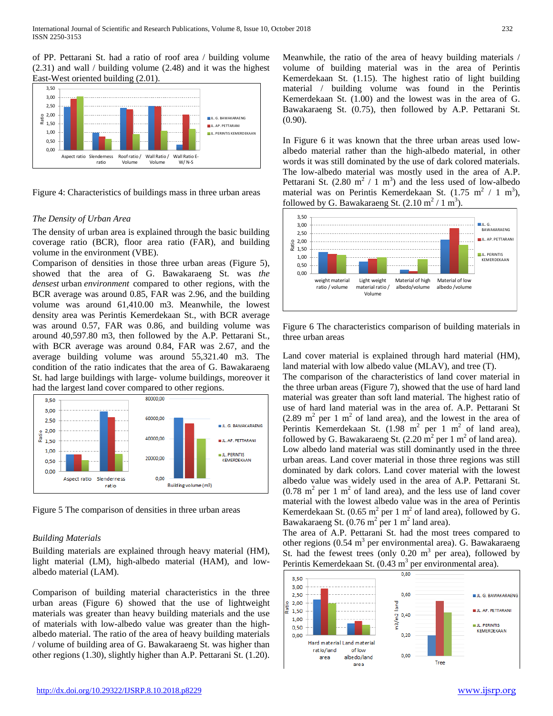of PP. Pettarani St. had a ratio of roof area / building volume (2.31) and wall / building volume (2.48) and it was the highest East-West oriented building (2.01).



Figure 4: Characteristics of buildings mass in three urban areas

## *The Density of Urban Area*

The density of urban area is explained through the basic building coverage ratio (BCR), floor area ratio (FAR), and building volume in the environment (VBE).

Comparison of densities in those three urban areas (Figure 5), showed that the area of G. Bawakaraeng St. was *the densest* urban *environment* compared to other regions, with the BCR average was around 0.85, FAR was 2.96, and the building volume was around 61,410.00 m3. Meanwhile, the lowest density area was Perintis Kemerdekaan St., with BCR average was around 0.57, FAR was 0.86, and building volume was around 40,597.80 m3, then followed by the A.P. Pettarani St., with BCR average was around 0.84, FAR was 2.67, and the average building volume was around 55,321.40 m3. The condition of the ratio indicates that the area of G. Bawakaraeng St. had large buildings with large- volume buildings, moreover it had the largest land cover compared to other regions.



Figure 5 The comparison of densities in three urban areas

## *Building Materials*

Building materials are explained through heavy material (HM), light material (LM), high-albedo material (HAM), and lowalbedo material (LAM).

Comparison of building material characteristics in the three urban areas (Figure 6) showed that the use of lightweight materials was greater than heavy building materials and the use of materials with low-albedo value was greater than the highalbedo material. The ratio of the area of heavy building materials / volume of building area of G. Bawakaraeng St. was higher than other regions (1.30), slightly higher than A.P. Pettarani St. (1.20).

Meanwhile, the ratio of the area of heavy building materials / volume of building material was in the area of Perintis Kemerdekaan St. (1.15). The highest ratio of light building material / building volume was found in the Perintis Kemerdekaan St. (1.00) and the lowest was in the area of G. Bawakaraeng St. (0.75), then followed by A.P. Pettarani St. (0.90).

In Figure 6 it was known that the three urban areas used lowalbedo material rather than the high-albedo material, in other words it was still dominated by the use of dark colored materials. The low-albedo material was mostly used in the area of A.P. Pettarani St.  $(2.80 \text{ m}^2 / 1 \text{ m}^3)$  and the less used of low-albedo material was on Perintis Kemerdekaan St.  $(1.75 \text{ m}^2 / 1 \text{ m}^3)$ , followed by G. Bawakaraeng St.  $(2.10 \text{ m}^2 / 1 \text{ m}^3)$ .



Figure 6 The characteristics comparison of building materials in three urban areas

Land cover material is explained through hard material (HM), land material with low albedo value (MLAV), and tree (T).

The comparison of the characteristics of land cover material in the three urban areas (Figure 7), showed that the use of hard land material was greater than soft land material. The highest ratio of use of hard land material was in the area of. A.P. Pettarani St  $(2.89 \text{ m}^2 \text{ per } 1 \text{ m}^2 \text{ of land area})$ , and the lowest in the area of Perintis Kemerdekaan St.  $(1.98 \text{ m}^2 \text{ per } 1 \text{ m}^2 \text{ of } \text{land area})$ , followed by G. Bawakaraeng St.  $(2.20 \text{ m}^2 \text{ per } 1 \text{ m}^2 \text{ of land area}).$ Low albedo land material was still dominantly used in the three urban areas. Land cover material in those three regions was still dominated by dark colors. Land cover material with the lowest albedo value was widely used in the area of A.P. Pettarani St.  $(0.78 \text{ m}^2 \text{ per } 1 \text{ m}^2 \text{ of land area})$ , and the less use of land cover material with the lowest albedo value was in the area of Perintis Kemerdekaan St.  $(0.65 \text{ m}^2 \text{ per } 1 \text{ m}^2 \text{ of land area})$ , followed by G. Bawakaraeng St.  $(0.76 \text{ m}^2 \text{ per } 1 \text{ m}^2 \text{ land area}).$ 

The area of A.P. Pettarani St. had the most trees compared to other regions  $(0.54 \text{ m}^3 \text{ per environmental area})$ . G. Bawakaraeng St. had the fewest trees (only  $0.20 \text{ m}^3$  per area), followed by Perintis Kemerdekaan St.  $(0.43 \text{ m}^3 \text{ per environmental area}).$ 

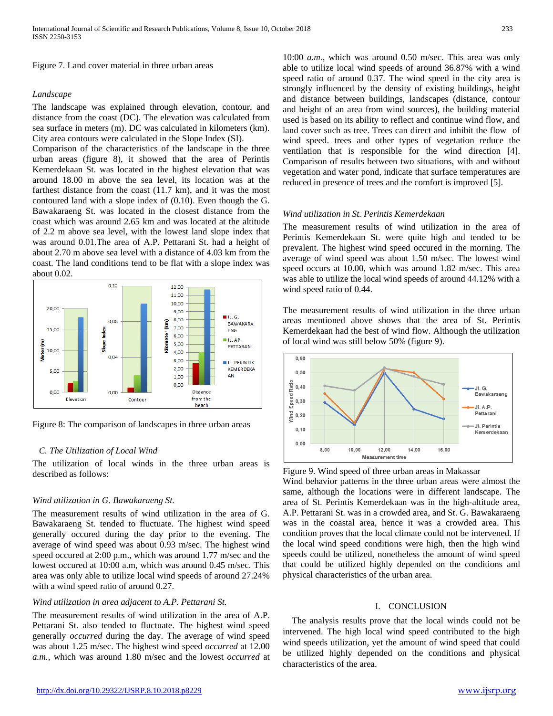Figure 7. Land cover material in three urban areas

#### *Landscape*

The landscape was explained through elevation, contour, and distance from the coast (DC). The elevation was calculated from sea surface in meters (m). DC was calculated in kilometers (km). City area contours were calculated in the Slope Index (SI).

Comparison of the characteristics of the landscape in the three urban areas (figure 8), it showed that the area of Perintis Kemerdekaan St. was located in the highest elevation that was around 18.00 m above the sea level, its location was at the farthest distance from the coast (11.7 km), and it was the most contoured land with a slope index of (0.10). Even though the G. Bawakaraeng St. was located in the closest distance from the coast which was around 2.65 km and was located at the altitude of 2.2 m above sea level, with the lowest land slope index that was around 0.01.The area of A.P. Pettarani St. had a height of about 2.70 m above sea level with a distance of 4.03 km from the coast. The land conditions tend to be flat with a slope index was about 0.02.



Figure 8: The comparison of landscapes in three urban areas

#### *C. The Utilization of Local Wind*

The utilization of local winds in the three urban areas is described as follows:

#### *Wind utilization in G. Bawakaraeng St.*

The measurement results of wind utilization in the area of G. Bawakaraeng St. tended to fluctuate. The highest wind speed generally occured during the day prior to the evening. The average of wind speed was about 0.93 m/sec. The highest wind speed occured at 2:00 p.m., which was around 1.77 m/sec and the lowest occured at 10:00 a.m, which was around 0.45 m/sec. This area was only able to utilize local wind speeds of around 27.24% with a wind speed ratio of around 0.27.

#### *Wind utilization in area adjacent to A.P. Pettarani St.*

The measurement results of wind utilization in the area of A.P. Pettarani St. also tended to fluctuate. The highest wind speed generally *occurred* during the day. The average of wind speed was about 1.25 m/sec. The highest wind speed *occurred* at 12.00 *a.m.*, which was around 1.80 m/sec and the lowest *occurred* at

10:00 *a.m.*, which was around 0.50 m/sec. This area was only able to utilize local wind speeds of around 36.87% with a wind speed ratio of around 0.37. The wind speed in the city area is strongly influenced by the density of existing buildings, height and distance between buildings, landscapes (distance, contour and height of an area from wind sources), the building material used is based on its ability to reflect and continue wind flow, and land cover such as tree. Trees can direct and inhibit the flow of wind speed. trees and other types of vegetation reduce the ventilation that is responsible for the wind direction [4]. Comparison of results between two situations, with and without vegetation and water pond, indicate that surface temperatures are reduced in presence of trees and the comfort is improved [5].

#### *Wind utilization in St. Perintis Kemerdekaan*

The measurement results of wind utilization in the area of Perintis Kemerdekaan St. were quite high and tended to be prevalent. The highest wind speed occured in the morning. The average of wind speed was about 1.50 m/sec. The lowest wind speed occurs at 10.00, which was around 1.82 m/sec. This area was able to utilize the local wind speeds of around 44.12% with a wind speed ratio of 0.44.

The measurement results of wind utilization in the three urban areas mentioned above shows that the area of St. Perintis Kemerdekaan had the best of wind flow. Although the utilization of local wind was still below 50% (figure 9).



Figure 9. Wind speed of three urban areas in Makassar

Wind behavior patterns in the three urban areas were almost the same, although the locations were in different landscape. The area of St. Perintis Kemerdekaan was in the high-altitude area, A.P. Pettarani St. was in a crowded area, and St. G. Bawakaraeng was in the coastal area, hence it was a crowded area. This condition proves that the local climate could not be intervened. If the local wind speed conditions were high, then the high wind speeds could be utilized, nonetheless the amount of wind speed that could be utilized highly depended on the conditions and physical characteristics of the urban area.

## I. CONCLUSION

The analysis results prove that the local winds could not be intervened. The high local wind speed contributed to the high wind speeds utilization, yet the amount of wind speed that could be utilized highly depended on the conditions and physical characteristics of the area.